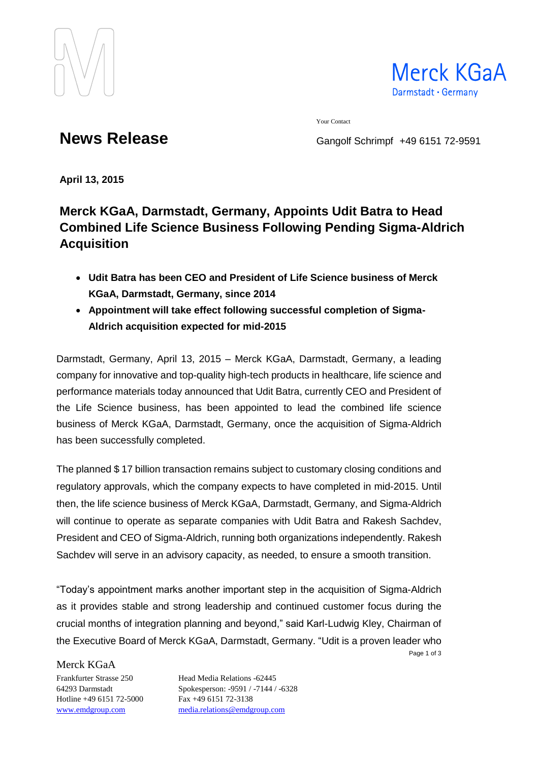



Your Contact

**News Release** Gangolf Schrimpf +49 6151 72-9591

**April 13, 2015**

## **Merck KGaA, Darmstadt, Germany, Appoints Udit Batra to Head Combined Life Science Business Following Pending Sigma-Aldrich Acquisition**

- **Udit Batra has been CEO and President of Life Science business of Merck KGaA, Darmstadt, Germany, since 2014**
- **Appointment will take effect following successful completion of Sigma-Aldrich acquisition expected for mid-2015**

Darmstadt, Germany, April 13, 2015 – Merck KGaA, Darmstadt, Germany, a leading company for innovative and top-quality high-tech products in healthcare, life science and performance materials today announced that Udit Batra, currently CEO and President of the Life Science business, has been appointed to lead the combined life science business of Merck KGaA, Darmstadt, Germany, once the acquisition of Sigma-Aldrich has been successfully completed.

The planned \$ 17 billion transaction remains subject to customary closing conditions and regulatory approvals, which the company expects to have completed in mid-2015. Until then, the life science business of Merck KGaA, Darmstadt, Germany, and Sigma-Aldrich will continue to operate as separate companies with Udit Batra and Rakesh Sachdev, President and CEO of Sigma-Aldrich, running both organizations independently. Rakesh Sachdev will serve in an advisory capacity, as needed, to ensure a smooth transition.

Page 1 of 3 "Today's appointment marks another important step in the acquisition of Sigma-Aldrich as it provides stable and strong leadership and continued customer focus during the crucial months of integration planning and beyond," said Karl-Ludwig Kley, Chairman of the Executive Board of Merck KGaA, Darmstadt, Germany. "Udit is a proven leader who

Merck KGaA

Hotline +49 6151 72-5000 Fax +49 6151 72-3138

Frankfurter Strasse 250 Head Media Relations -62445 64293 Darmstadt Spokesperson: -9591 / -7144 / -6328 [www.emdgroup.com](http://www.emdgroup.com/) [media.relations@emdgroup.com](mailto:media.relations@emdgroup.com)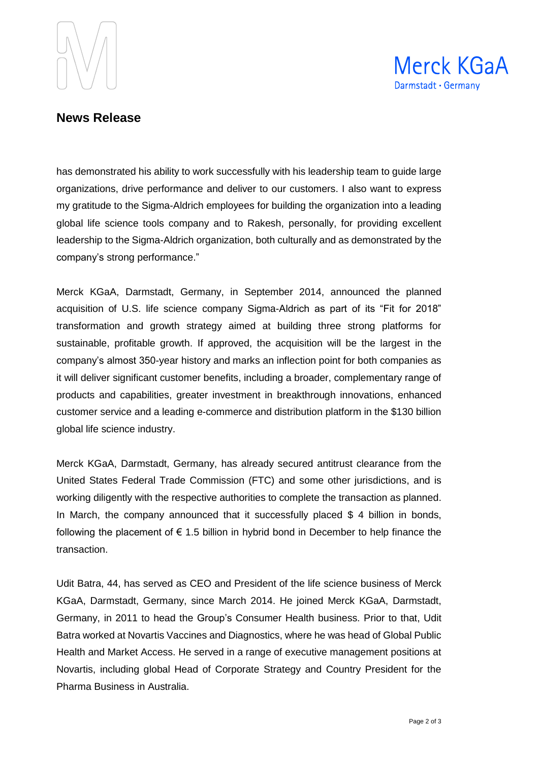



## **News Release**

has demonstrated his ability to work successfully with his leadership team to guide large organizations, drive performance and deliver to our customers. I also want to express my gratitude to the Sigma-Aldrich employees for building the organization into a leading global life science tools company and to Rakesh, personally, for providing excellent leadership to the Sigma-Aldrich organization, both culturally and as demonstrated by the company's strong performance."

Merck KGaA, Darmstadt, Germany, in September 2014, announced the planned acquisition of U.S. life science company Sigma-Aldrich as part of its "Fit for 2018" transformation and growth strategy aimed at building three strong platforms for sustainable, profitable growth. If approved, the acquisition will be the largest in the company's almost 350-year history and marks an inflection point for both companies as it will deliver significant customer benefits, including a broader, complementary range of products and capabilities, greater investment in breakthrough innovations, enhanced customer service and a leading e-commerce and distribution platform in the \$130 billion global life science industry.

Merck KGaA, Darmstadt, Germany, has already secured antitrust clearance from the United States Federal Trade Commission (FTC) and some other jurisdictions, and is working diligently with the respective authorities to complete the transaction as planned. In March, the company announced that it successfully placed \$ 4 billion in bonds, following the placement of  $\epsilon$  1.5 billion in hybrid bond in December to help finance the transaction.

Udit Batra, 44, has served as CEO and President of the life science business of Merck KGaA, Darmstadt, Germany, since March 2014. He joined Merck KGaA, Darmstadt, Germany, in 2011 to head the Group's Consumer Health business. Prior to that, Udit Batra worked at Novartis Vaccines and Diagnostics, where he was head of Global Public Health and Market Access. He served in a range of executive management positions at Novartis, including global Head of Corporate Strategy and Country President for the Pharma Business in Australia.